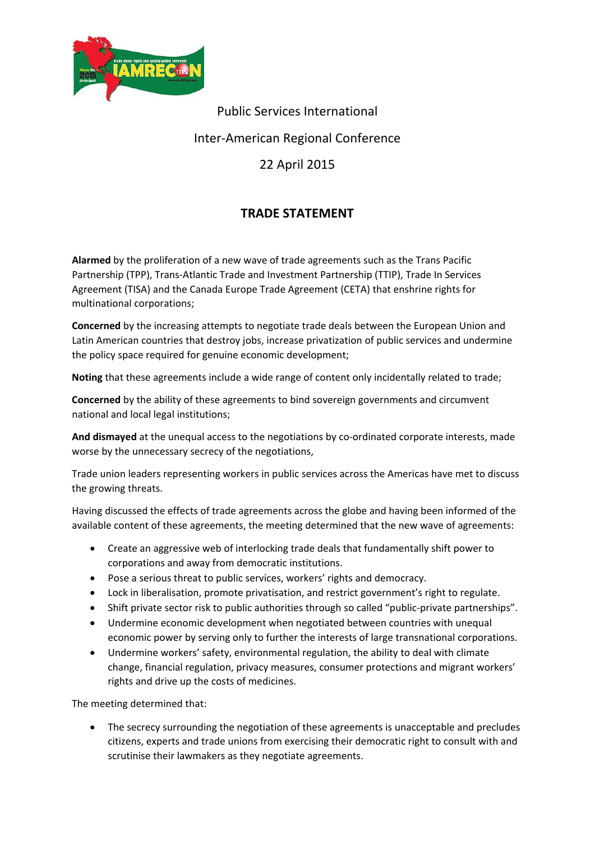

Public Services International

## Inter‐American Regional Conference

## 22 April 2015

## **TRADE STATEMENT**

**Alarmed** by the proliferation of a new wave of trade agreements such as the Trans Pacific Partnership (TPP), Trans‐Atlantic Trade and Investment Partnership (TTIP), Trade In Services Agreement (TISA) and the Canada Europe Trade Agreement (CETA) that enshrine rights for multinational corporations;

**Concerned** by the increasing attempts to negotiate trade deals between the European Union and Latin American countries that destroy jobs, increase privatization of public services and undermine the policy space required for genuine economic development;

**Noting** that these agreements include a wide range of content only incidentally related to trade;

**Concerned** by the ability of these agreements to bind sovereign governments and circumvent national and local legal institutions;

And dismayed at the unequal access to the negotiations by co-ordinated corporate interests, made worse by the unnecessary secrecy of the negotiations,

Trade union leaders representing workers in public services across the Americas have met to discuss the growing threats.

Having discussed the effects of trade agreements across the globe and having been informed of the available content of these agreements, the meeting determined that the new wave of agreements:

- Create an aggressive web of interlocking trade deals that fundamentally shift power to corporations and away from democratic institutions.
- Pose a serious threat to public services, workers' rights and democracy.
- Lock in liberalisation, promote privatisation, and restrict government's right to regulate.
- Shift private sector risk to public authorities through so called "public-private partnerships".
- Undermine economic development when negotiated between countries with unequal economic power by serving only to further the interests of large transnational corporations.
- Undermine workers' safety, environmental regulation, the ability to deal with climate change, financial regulation, privacy measures, consumer protections and migrant workers' rights and drive up the costs of medicines.

The meeting determined that:

 The secrecy surrounding the negotiation of these agreements is unacceptable and precludes citizens, experts and trade unions from exercising their democratic right to consult with and scrutinise their lawmakers as they negotiate agreements.